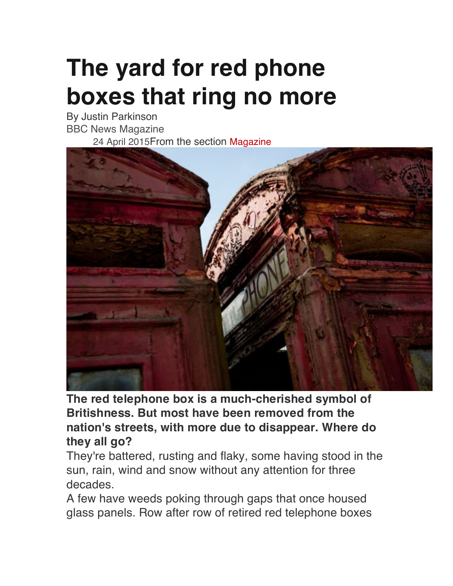## **The yard for red phone boxes that ring no more**

By Justin Parkinson BBC News Magazine 24 April 2015From the section Magazine



**The red telephone box is a much-cherished symbol of Britishness. But most have been removed from the nation's streets, with more due to disappear. Where do they all go?**

They're battered, rusting and flaky, some having stood in the sun, rain, wind and snow without any attention for three decades.

A few have weeds poking through gaps that once housed glass panels. Row after row of retired red telephone boxes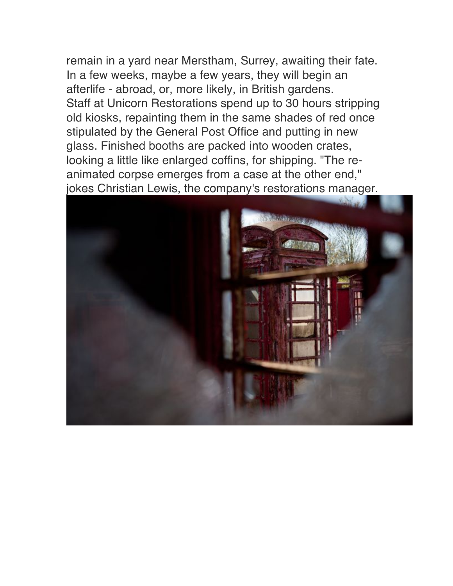remain in a yard near Merstham, Surrey, awaiting their fate. In a few weeks, maybe a few years, they will begin an afterlife - abroad, or, more likely, in British gardens. Staff at Unicorn Restorations spend up to 30 hours stripping old kiosks, repainting them in the same shades of red once stipulated by the General Post Office and putting in new glass. Finished booths are packed into wooden crates, looking a little like enlarged coffins, for shipping. "The reanimated corpse emerges from a case at the other end," jokes Christian Lewis, the company's restorations manager.

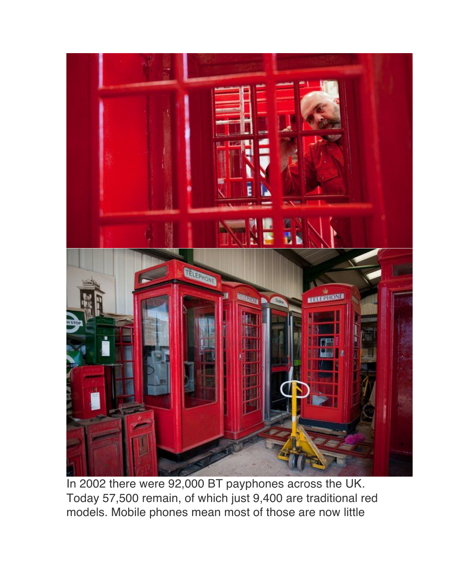

In 2002 there were 92,000 BT payphones across the UK. Today 57,500 remain, of which just 9,400 are traditional red models. Mobile phones mean most of those are now little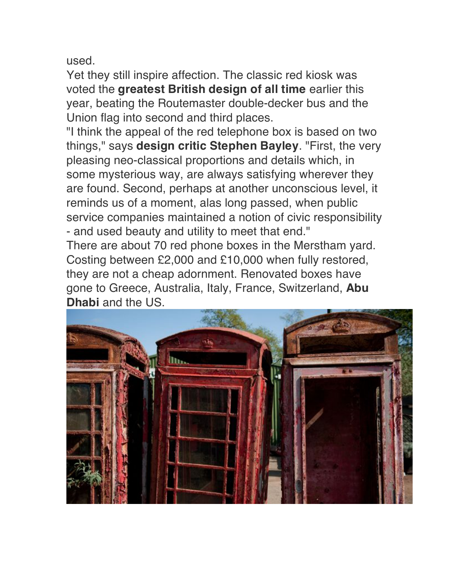used.

Yet they still inspire affection. The classic red kiosk was voted the **greatest British design of all time** earlier this year, beating the Routemaster double-decker bus and the Union flag into second and third places.

"I think the appeal of the red telephone box is based on two things," says **design critic Stephen Bayley**. "First, the very pleasing neo-classical proportions and details which, in some mysterious way, are always satisfying wherever they are found. Second, perhaps at another unconscious level, it reminds us of a moment, alas long passed, when public service companies maintained a notion of civic responsibility - and used beauty and utility to meet that end."

There are about 70 red phone boxes in the Merstham yard. Costing between £2,000 and £10,000 when fully restored, they are not a cheap adornment. Renovated boxes have gone to Greece, Australia, Italy, France, Switzerland, **Abu Dhabi** and the US.

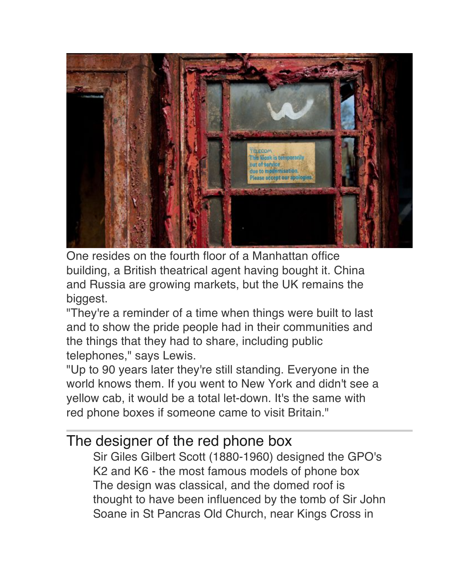

One resides on the fourth floor of a Manhattan office building, a British theatrical agent having bought it. China and Russia are growing markets, but the UK remains the biggest.

"They're a reminder of a time when things were built to last and to show the pride people had in their communities and the things that they had to share, including public telephones," says Lewis.

"Up to 90 years later they're still standing. Everyone in the world knows them. If you went to New York and didn't see a yellow cab, it would be a total let-down. It's the same with red phone boxes if someone came to visit Britain."

## The designer of the red phone box

Sir Giles Gilbert Scott (1880-1960) designed the GPO's K2 and K6 - the most famous models of phone box The design was classical, and the domed roof is thought to have been influenced by the tomb of Sir John Soane in St Pancras Old Church, near Kings Cross in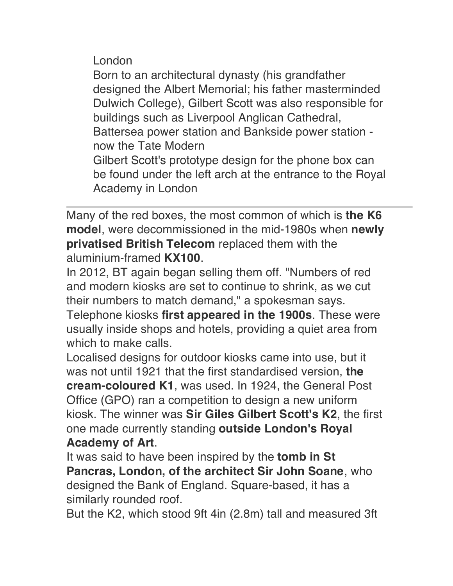London

Born to an architectural dynasty (his grandfather designed the Albert Memorial; his father masterminded Dulwich College), Gilbert Scott was also responsible for buildings such as Liverpool Anglican Cathedral, Battersea power station and Bankside power station now the Tate Modern Gilbert Scott's prototype design for the phone box can be found under the left arch at the entrance to the Royal Academy in London

Many of the red boxes, the most common of which is **the K6 model**, were decommissioned in the mid-1980s when **newly privatised British Telecom** replaced them with the aluminium-framed **KX100**.

In 2012, BT again began selling them off. "Numbers of red and modern kiosks are set to continue to shrink, as we cut their numbers to match demand," a spokesman says.

Telephone kiosks **first appeared in the 1900s**. These were usually inside shops and hotels, providing a quiet area from which to make calls.

Localised designs for outdoor kiosks came into use, but it was not until 1921 that the first standardised version, **the cream-coloured K1**, was used. In 1924, the General Post Office (GPO) ran a competition to design a new uniform kiosk. The winner was **Sir Giles Gilbert Scott's K2**, the first one made currently standing **outside London's Royal Academy of Art**.

It was said to have been inspired by the **tomb in St Pancras, London, of the architect Sir John Soane**, who designed the Bank of England. Square-based, it has a similarly rounded roof.

But the K2, which stood 9ft 4in (2.8m) tall and measured 3ft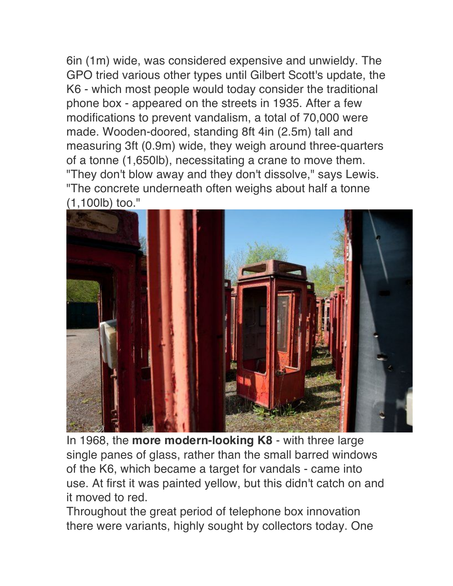6in (1m) wide, was considered expensive and unwieldy. The GPO tried various other types until Gilbert Scott's update, the K6 - which most people would today consider the traditional phone box - appeared on the streets in 1935. After a few modifications to prevent vandalism, a total of 70,000 were made. Wooden-doored, standing 8ft 4in (2.5m) tall and measuring 3ft (0.9m) wide, they weigh around three-quarters of a tonne (1,650lb), necessitating a crane to move them. "They don't blow away and they don't dissolve," says Lewis. "The concrete underneath often weighs about half a tonne (1,100lb) too."



In 1968, the **more modern-looking K8** - with three large single panes of glass, rather than the small barred windows of the K6, which became a target for vandals - came into use. At first it was painted yellow, but this didn't catch on and it moved to red.

Throughout the great period of telephone box innovation there were variants, highly sought by collectors today. One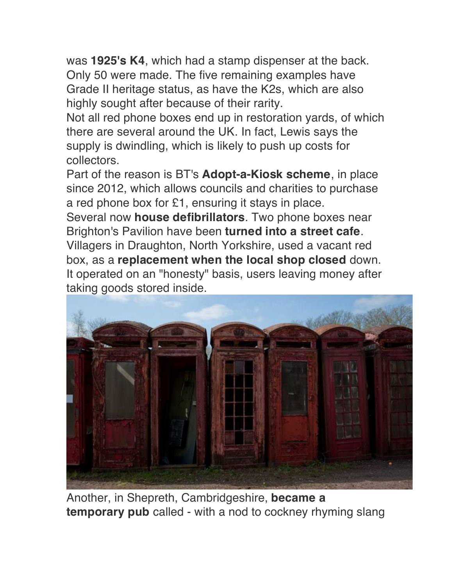was **1925's K4**, which had a stamp dispenser at the back. Only 50 were made. The five remaining examples have Grade II heritage status, as have the K2s, which are also highly sought after because of their rarity.

Not all red phone boxes end up in restoration yards, of which there are several around the UK. In fact, Lewis says the supply is dwindling, which is likely to push up costs for collectors.

Part of the reason is BT's **Adopt-a-Kiosk scheme**, in place since 2012, which allows councils and charities to purchase a red phone box for £1, ensuring it stays in place.

Several now **house defibrillators**. Two phone boxes near Brighton's Pavilion have been **turned into a street cafe**.

Villagers in Draughton, North Yorkshire, used a vacant red box, as a **replacement when the local shop closed** down. It operated on an "honesty" basis, users leaving money after taking goods stored inside.



Another, in Shepreth, Cambridgeshire, **became a temporary pub** called - with a nod to cockney rhyming slang